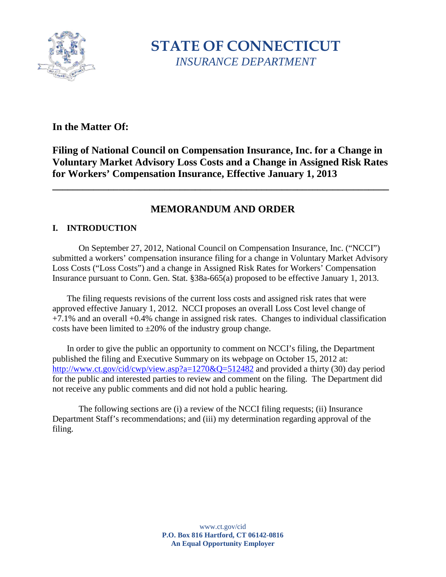

**STATE OF CONNECTICUT** *INSURANCE DEPARTMENT*

## **In the Matter Of:**

# **Filing of National Council on Compensation Insurance, Inc. for a Change in Voluntary Market Advisory Loss Costs and a Change in Assigned Risk Rates for Workers' Compensation Insurance, Effective January 1, 2013**

**\_\_\_\_\_\_\_\_\_\_\_\_\_\_\_\_\_\_\_\_\_\_\_\_\_\_\_\_\_\_\_\_\_\_\_\_\_\_\_\_\_\_\_\_\_\_\_\_\_\_\_\_\_\_\_\_\_\_\_\_\_\_\_\_\_\_**

## **MEMORANDUM AND ORDER**

## **I. INTRODUCTION**

On September 27, 2012, National Council on Compensation Insurance, Inc. ("NCCI") submitted a workers' compensation insurance filing for a change in Voluntary Market Advisory Loss Costs ("Loss Costs") and a change in Assigned Risk Rates for Workers' Compensation Insurance pursuant to Conn. Gen. Stat. §38a-665(a) proposed to be effective January 1, 2013.

The filing requests revisions of the current loss costs and assigned risk rates that were approved effective January 1, 2012. NCCI proposes an overall Loss Cost level change of +7.1% and an overall +0.4% change in assigned risk rates. Changes to individual classification costs have been limited to  $\pm 20\%$  of the industry group change.

In order to give the public an opportunity to comment on NCCI's filing, the Department published the filing and Executive Summary on its webpage on October 15, 2012 at: <http://www.ct.gov/cid/cwp/view.asp?a=1270&Q=512482> and provided a thirty (30) day period for the public and interested parties to review and comment on the filing. The Department did not receive any public comments and did not hold a public hearing.

The following sections are (i) a review of the NCCI filing requests; (ii) Insurance Department Staff's recommendations; and (iii) my determination regarding approval of the filing.

> www.ct.gov/cid **P.O. Box 816 Hartford, CT 06142-0816 An Equal Opportunity Employer**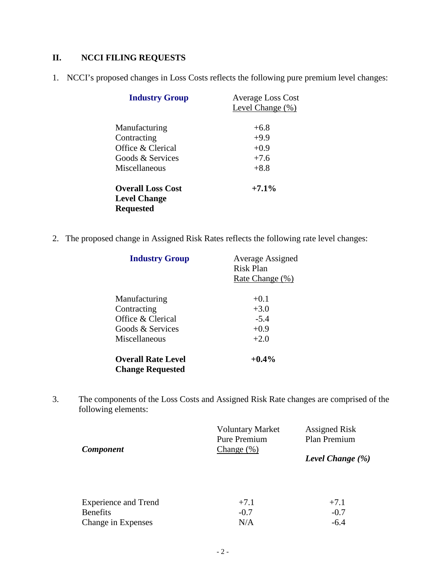# **II. NCCI FILING REQUESTS**

1. NCCI's proposed changes in Loss Costs reflects the following pure premium level changes:

| <b>Industry Group</b>                   | <b>Average Loss Cost</b><br>Level Change (%) |
|-----------------------------------------|----------------------------------------------|
| Manufacturing                           | $+6.8$                                       |
| Contracting                             | $+9.9$                                       |
| Office & Clerical                       | $+0.9$                                       |
| Goods & Services                        | $+7.6$                                       |
| Miscellaneous                           | $+8.8$                                       |
| <b>Overall Loss Cost</b>                | $+7.1\%$                                     |
| <b>Level Change</b><br><b>Requested</b> |                                              |

2. The proposed change in Assigned Risk Rates reflects the following rate level changes:

| <b>Industry Group</b>     | <b>Average Assigned</b><br>Risk Plan |  |
|---------------------------|--------------------------------------|--|
|                           |                                      |  |
|                           | Rate Change (%)                      |  |
| Manufacturing             | $+0.1$                               |  |
| Contracting               | $+3.0$                               |  |
| Office & Clerical         | $-5.4$                               |  |
| Goods & Services          | $+0.9$                               |  |
| Miscellaneous             | $+2.0$                               |  |
| <b>Overall Rate Level</b> | $+0.4\%$                             |  |
| <b>Change Requested</b>   |                                      |  |

3. The components of the Loss Costs and Assigned Risk Rate changes are comprised of the following elements:

| <b>Component</b>                      | <b>Voluntary Market</b><br><b>Pure Premium</b><br>Change(%) | <b>Assigned Risk</b><br>Plan Premium |
|---------------------------------------|-------------------------------------------------------------|--------------------------------------|
|                                       |                                                             | Level Change $(\% )$                 |
| <b>Experience and Trend</b>           | $+7.1$                                                      | $+7.1$                               |
| <b>Benefits</b><br>Change in Expenses | $-0.7$<br>N/A                                               | $-0.7$<br>$-6.4$                     |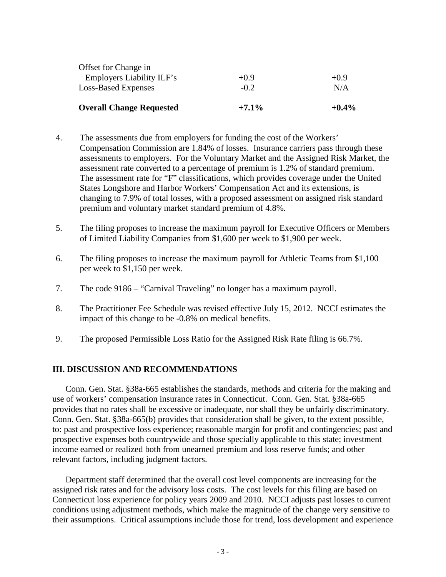| <b>Overall Change Requested</b> | $+7.1\%$ | $+0.4\%$ |
|---------------------------------|----------|----------|
| <b>Loss-Based Expenses</b>      | $-0.2$   | N/A      |
| Employers Liability ILF's       | $+0.9$   | $+0.9$   |
| Offset for Change in            |          |          |

- 4. The assessments due from employers for funding the cost of the Workers' Compensation Commission are 1.84% of losses. Insurance carriers pass through these assessments to employers. For the Voluntary Market and the Assigned Risk Market, the assessment rate converted to a percentage of premium is 1.2% of standard premium. The assessment rate for "F" classifications, which provides coverage under the United States Longshore and Harbor Workers' Compensation Act and its extensions, is changing to 7.9% of total losses, with a proposed assessment on assigned risk standard premium and voluntary market standard premium of 4.8%.
- 5. The filing proposes to increase the maximum payroll for Executive Officers or Members of Limited Liability Companies from \$1,600 per week to \$1,900 per week.
- 6. The filing proposes to increase the maximum payroll for Athletic Teams from \$1,100 per week to \$1,150 per week.
- 7. The code 9186 "Carnival Traveling" no longer has a maximum payroll.
- 8. The Practitioner Fee Schedule was revised effective July 15, 2012. NCCI estimates the impact of this change to be -0.8% on medical benefits.
- 9. The proposed Permissible Loss Ratio for the Assigned Risk Rate filing is 66.7%.

#### **III. DISCUSSION AND RECOMMENDATIONS**

Conn. Gen. Stat. §38a-665 establishes the standards, methods and criteria for the making and use of workers' compensation insurance rates in Connecticut. Conn. Gen. Stat. §38a-665 provides that no rates shall be excessive or inadequate, nor shall they be unfairly discriminatory. Conn. Gen. Stat. §38a-665(b) provides that consideration shall be given, to the extent possible, to: past and prospective loss experience; reasonable margin for profit and contingencies; past and prospective expenses both countrywide and those specially applicable to this state; investment income earned or realized both from unearned premium and loss reserve funds; and other relevant factors, including judgment factors.

Department staff determined that the overall cost level components are increasing for the assigned risk rates and for the advisory loss costs. The cost levels for this filing are based on Connecticut loss experience for policy years 2009 and 2010. NCCI adjusts past losses to current conditions using adjustment methods, which make the magnitude of the change very sensitive to their assumptions. Critical assumptions include those for trend, loss development and experience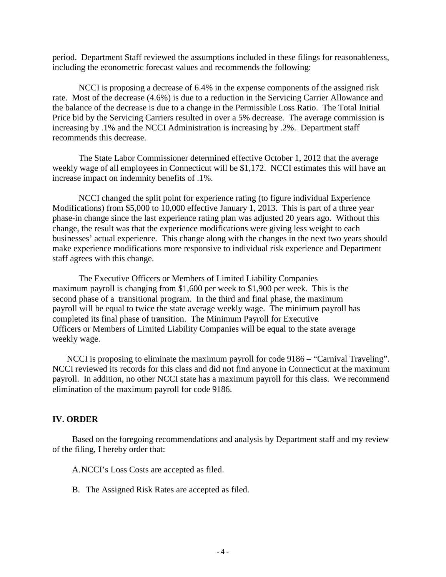period. Department Staff reviewed the assumptions included in these filings for reasonableness, including the econometric forecast values and recommends the following:

NCCI is proposing a decrease of 6.4% in the expense components of the assigned risk rate. Most of the decrease (4.6%) is due to a reduction in the Servicing Carrier Allowance and the balance of the decrease is due to a change in the Permissible Loss Ratio. The Total Initial Price bid by the Servicing Carriers resulted in over a 5% decrease. The average commission is increasing by .1% and the NCCI Administration is increasing by .2%. Department staff recommends this decrease.

The State Labor Commissioner determined effective October 1, 2012 that the average weekly wage of all employees in Connecticut will be \$1,172. NCCI estimates this will have an increase impact on indemnity benefits of .1%.

NCCI changed the split point for experience rating (to figure individual Experience Modifications) from \$5,000 to 10,000 effective January 1, 2013. This is part of a three year phase-in change since the last experience rating plan was adjusted 20 years ago. Without this change, the result was that the experience modifications were giving less weight to each businesses' actual experience. This change along with the changes in the next two years should make experience modifications more responsive to individual risk experience and Department staff agrees with this change.

The Executive Officers or Members of Limited Liability Companies maximum payroll is changing from \$1,600 per week to \$1,900 per week. This is the second phase of a transitional program. In the third and final phase, the maximum payroll will be equal to twice the state average weekly wage. The minimum payroll has completed its final phase of transition. The Minimum Payroll for Executive Officers or Members of Limited Liability Companies will be equal to the state average weekly wage.

NCCI is proposing to eliminate the maximum payroll for code 9186 – "Carnival Traveling". NCCI reviewed its records for this class and did not find anyone in Connecticut at the maximum payroll. In addition, no other NCCI state has a maximum payroll for this class. We recommend elimination of the maximum payroll for code 9186.

### **IV. ORDER**

Based on the foregoing recommendations and analysis by Department staff and my review of the filing, I hereby order that:

A.NCCI's Loss Costs are accepted as filed.

B. The Assigned Risk Rates are accepted as filed.